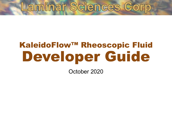# Laminar Sciences Corp

# KaleidoFlow™ Rheoscopic Fluid Developer Guide

October 2020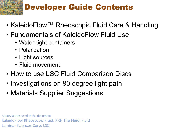## Developer Guide Contents

- KaleidoFlow™ Rheoscopic Fluid Care & Handling
- Fundamentals of KaleidoFlow Fluid Use
	- Water-tight containers
	- Polarization
	- Light sources
	- Fluid movement
- How to use LSC Fluid Comparison Discs
- Investigations on 90 degree light path
- Materials Supplier Suggestions

Abbreviations used in the document KaleidoFlow Rheoscopic Fluid: KRF, The Fluid, Fluid Laminar Sciences Corp: LSC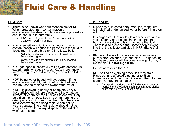## Fluid Care & Handling

#### Fluid Care

- There is no known wear-out mechanism for KDF. When protected from contamination or evaporation, the streaming birefringence properties should continue in perpetuity.
	- LSC has a 10-year old tank/pump demonstration device still working as new
- KDF is sensitive to ionic contamination. Ionic contamination will cause the particles in the fluid to flocculate – irreversibly clump into fuzzy balls.
	- Salts, tap water and plumbers putty are known flocculation agents
	- Sweat and oils from human skin is a suspected flocculation agent
- KDF has been successfully mixed with acetone (in experiments to reduce viscosity). As more 'known safe' mix agents are discovered, they will be listed here.
- KDF, being water-based, will evaporate. If the evaporation is slight, deionized or distilled water can be used to replace the evaporated water.
- If KDF is allowed to nearly or completely dry out, the particles will adhere strongly to the whatever surface or container the fluid was in and will likely be difficult to remove. Soaking or immersing the dried particles might remove them, but there are instances where the dried residue can not be washed away. The dried residue should not be scraped or sanded away; dispose of the articles with fluid residue.

#### Fluid Handling

- Rinse any fluid containers, modules, tanks, etc with distilled or de-ionized water before filling them with KRF.
- It is suggested that nitrile gloves when working on vessels for KRF so as to limit the chance that human skin salts or oils contaminate the fluid. There is also a chance that some people might find that the silicate particles in KRF irritate their skin.
- KRF is colloidal of tiny silicate particles in very pure water. As such, it is not toxic. But no testing has been done, or will be done, on ingestion by mammals. **Do not ingest KRF.**
- Do not aerosolize the KRF.
- KDF spilled on clothing or textiles may stain. Rinse out any affected clothing or textiles immediately and then machine wash them for best chance of preventing stains.
	- An experiment done by LSC indicates that cotton fabrics can be washed clean, but synthetic blends might retain a very light stain mark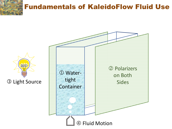### Fundamentals of KaleidoFlow Fluid Use

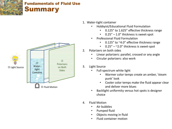



- 1. Water-tight container
	- Hobbyist/Educational Fluid Formulation
		- 0.125" to 1.625" effective thickness range
		- $0.25'' 1.0''$  thickness is sweet-spot
	- Professional Fluid Formulation
		- 0.125" to ~4.0" effective thickness range
		- $\cdot$  0.25" ~2.0" thickness is sweet-spot
- 2. Polarizers on both sides
	- Linear polarizers: parallel, crossed or any angle
	- Circular polarizers: also work
- 3. Light Source
	- Full-spectrum white light
		- Warmer color temps create an amber, 'steam punk' look
		- Cooler color temps make the fluid appear clear and deliver more blues
	- Backlight uniformity versus hot spots is designer choice
- 4. Fluid Motion
	- Air bubbles
	- Pumped fluid
	- Objects moving in fluid
	- Fluid container motion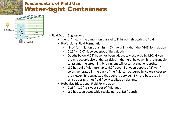#### Fundamentals of Fluid Use Water-tight Containers



• Fluid Depth Suggestions

- "depth" means the dimension parallel to light path through the fluid
- Professional Fluid Formulation
	- "Pro" formulation transmits ~40% more light than the "H/E" formulation
	- $0.25'' 2.0''$  is sweet-spot of fluid depth
	- Depths below 0.25" have not been adequately explored by LSC. Given the microscopic size of the particles in the fluid, however, it is reasonable to assume the streaming birefringent will occur at smaller depths.
	- LSC has built fluid tanks up to 4.0" deep. Between depths of 2" to 4", colors generated in the back of the fluid can obscured by colors closer to the viewer. It is suggested that depths between 2-4" are best used in artistic designs, not fluid flow visualization designs.
- Hobbyist/Educational Fluid Formulation
	- $\cdot$  0.25" 1.0" is sweet-spot of fluid depth
	- LSC has seen acceptable results up to 1.625" depth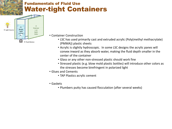### Fundamentals of Fluid Use Water-tight Containers



- Container Construction
	- LSC has used primarily cast and extruded acrylic (Poly(methyl methacrylate) (PMMA)) plastic sheets
	- Acrylic is slightly hydroscopic. In some LSC designs the acrylic panes will convex inward as they absorb water, making the fluid depth smaller in the center of the container
	- Glass or any other non-stressed plastic should work fine
	- Stressed plastic (e.g. blow mold plastic bottles) will introduce other colors as the stresses become birefringent in polarized light
- Glues and Cements
	- TAP Plastics acrylic cement
- Gaskets
	- Plumbers putty has caused flocculation (after several weeks)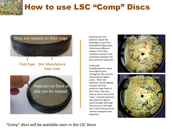## How to use LSC "Comp" Discs



Rotating the front polarizer allows the developer to see how KaleidoFlow Rheoscopic Fluid shows different aspects of the flow conditions based on the orientation between the back and front polarizers.

#### Artistically:

Parallel polarizers allow more light to pass through the disc and the fluid produces lighter colors. When the polarizers are 90 degrees crossed, the fluid produces large fields of dark 'haze' and more intense colors around the 'haze'. Crossed polarizers also allow less light to come through (although the pictures to the right don't show it because the camera employed auto exposure)





"Comp" discs will be available soon in the LSC Store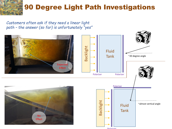### 90 Degree Light Path Investigations

*Customers often ask if they need a linear light path – the answer (so far) is unfortunately "yes"*

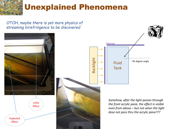Unexplained Phenomena

*OTOH, maybe there is yet more physics of streaming birefringence to be discovered*